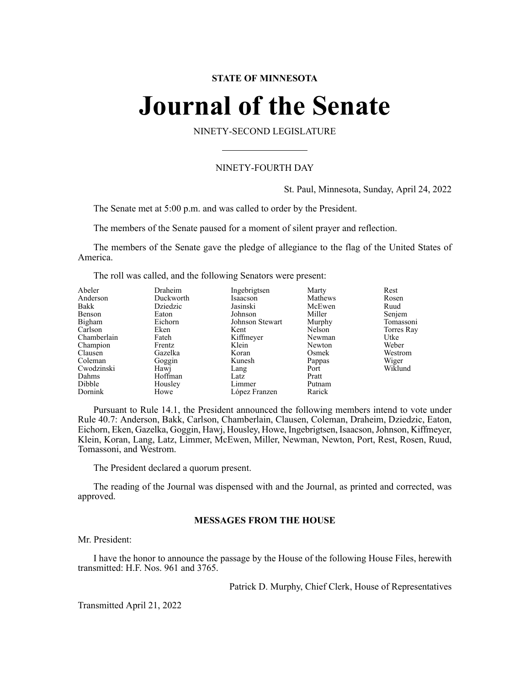#### **STATE OF MINNESOTA**

# **Journal of the Senate**

NINETY-SECOND LEGISLATURE

### NINETY-FOURTH DAY

St. Paul, Minnesota, Sunday, April 24, 2022

The Senate met at 5:00 p.m. and was called to order by the President.

The members of the Senate paused for a moment of silent prayer and reflection.

The members of the Senate gave the pledge of allegiance to the flag of the United States of America.

The roll was called, and the following Senators were present:

| Abeler<br>Anderson<br>Bakk | Draheim<br>Duckworth<br>Dziedzic | Ingebrigtsen<br>Isaacson<br>Jasinski | Marty<br>Mathews<br>McEwen | Rest<br>Rosen<br>Ruud |
|----------------------------|----------------------------------|--------------------------------------|----------------------------|-----------------------|
| Benson                     | Eaton                            | Johnson                              | Miller                     | Senjem                |
| Bigham                     | Eichorn                          | Johnson Stewart                      | Murphy                     | Tomassoni             |
| Carlson                    | Eken                             | Kent                                 | Nelson                     | Torres Ray            |
| Chamberlain                | Fateh                            | Kiffmeyer                            | Newman                     | Utke                  |
| Champion                   | Frentz                           | Klein                                | Newton                     | Weber                 |
| Clausen                    | Gazelka                          | Koran                                | Osmek                      | Westrom               |
| Coleman                    | Goggin                           | Kunesh                               | Pappas                     | Wiger                 |
| Cwodzinski                 | Hawj                             | Lang                                 | Port                       | Wiklund               |
| Dahms                      | Hoffman                          | Latz                                 | Pratt                      |                       |
| Dibble                     | Housley                          | Limmer                               | Putnam                     |                       |
| Dornink                    | Howe                             | López Franzen                        | Rarick                     |                       |

Pursuant to Rule 14.1, the President announced the following members intend to vote under Rule 40.7: Anderson, Bakk, Carlson, Chamberlain, Clausen, Coleman, Draheim, Dziedzic, Eaton, Eichorn, Eken, Gazelka, Goggin, Hawj, Housley, Howe, Ingebrigtsen, Isaacson,Johnson, Kiffmeyer, Klein, Koran, Lang, Latz, Limmer, McEwen, Miller, Newman, Newton, Port, Rest, Rosen, Ruud, Tomassoni, and Westrom.

The President declared a quorum present.

The reading of the Journal was dispensed with and the Journal, as printed and corrected, was approved.

#### **MESSAGES FROM THE HOUSE**

Mr. President:

I have the honor to announce the passage by the House of the following House Files, herewith transmitted: H.F. Nos. 961 and 3765.

Patrick D. Murphy, Chief Clerk, House of Representatives

Transmitted April 21, 2022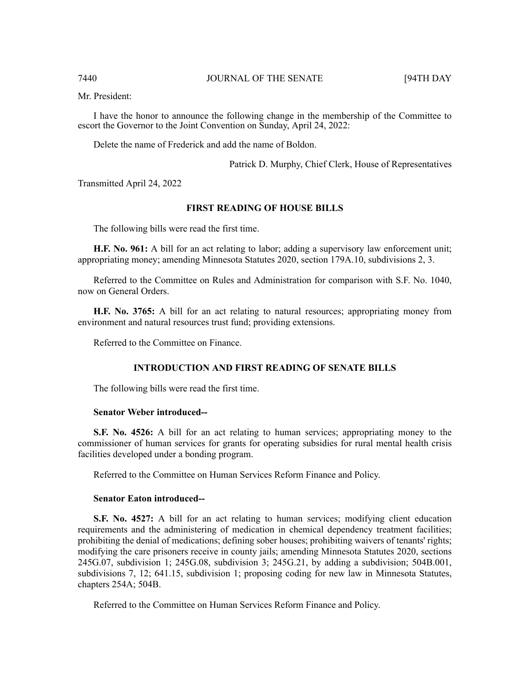Mr. President:

I have the honor to announce the following change in the membership of the Committee to escort the Governor to the Joint Convention on Sunday, April 24, 2022:

Delete the name of Frederick and add the name of Boldon.

Patrick D. Murphy, Chief Clerk, House of Representatives

Transmitted April 24, 2022

#### **FIRST READING OF HOUSE BILLS**

The following bills were read the first time.

**H.F. No. 961:** A bill for an act relating to labor; adding a supervisory law enforcement unit; appropriating money; amending Minnesota Statutes 2020, section 179A.10, subdivisions 2, 3.

Referred to the Committee on Rules and Administration for comparison with S.F. No. 1040, now on General Orders.

**H.F. No. 3765:** A bill for an act relating to natural resources; appropriating money from environment and natural resources trust fund; providing extensions.

Referred to the Committee on Finance.

#### **INTRODUCTION AND FIRST READING OF SENATE BILLS**

The following bills were read the first time.

#### **Senator Weber introduced--**

**S.F. No. 4526:** A bill for an act relating to human services; appropriating money to the commissioner of human services for grants for operating subsidies for rural mental health crisis facilities developed under a bonding program.

Referred to the Committee on Human Services Reform Finance and Policy.

#### **Senator Eaton introduced--**

**S.F. No. 4527:** A bill for an act relating to human services; modifying client education requirements and the administering of medication in chemical dependency treatment facilities; prohibiting the denial of medications; defining sober houses; prohibiting waivers of tenants' rights; modifying the care prisoners receive in county jails; amending Minnesota Statutes 2020, sections 245G.07, subdivision 1; 245G.08, subdivision 3; 245G.21, by adding a subdivision; 504B.001, subdivisions 7, 12; 641.15, subdivision 1; proposing coding for new law in Minnesota Statutes, chapters 254A; 504B.

Referred to the Committee on Human Services Reform Finance and Policy.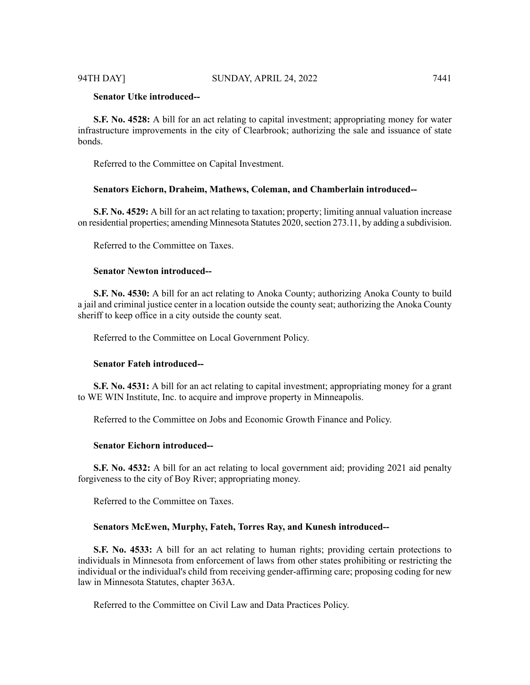### **Senator Utke introduced--**

**S.F. No. 4528:** A bill for an act relating to capital investment; appropriating money for water infrastructure improvements in the city of Clearbrook; authorizing the sale and issuance of state bonds.

Referred to the Committee on Capital Investment.

#### **Senators Eichorn, Draheim, Mathews, Coleman, and Chamberlain introduced--**

**S.F. No. 4529:** A bill for an act relating to taxation; property; limiting annual valuation increase on residential properties; amending Minnesota Statutes 2020, section 273.11, by adding a subdivision.

Referred to the Committee on Taxes.

#### **Senator Newton introduced--**

**S.F. No. 4530:** A bill for an act relating to Anoka County; authorizing Anoka County to build a jail and criminal justice center in a location outside the county seat; authorizing the Anoka County sheriff to keep office in a city outside the county seat.

Referred to the Committee on Local Government Policy.

#### **Senator Fateh introduced--**

**S.F. No. 4531:** A bill for an act relating to capital investment; appropriating money for a grant to WE WIN Institute, Inc. to acquire and improve property in Minneapolis.

Referred to the Committee on Jobs and Economic Growth Finance and Policy.

#### **Senator Eichorn introduced--**

**S.F. No. 4532:** A bill for an act relating to local government aid; providing 2021 aid penalty forgiveness to the city of Boy River; appropriating money.

Referred to the Committee on Taxes.

#### **Senators McEwen, Murphy, Fateh, Torres Ray, and Kunesh introduced--**

**S.F. No. 4533:** A bill for an act relating to human rights; providing certain protections to individuals in Minnesota from enforcement of laws from other states prohibiting or restricting the individual or the individual's child from receiving gender-affirming care; proposing coding for new law in Minnesota Statutes, chapter 363A.

Referred to the Committee on Civil Law and Data Practices Policy.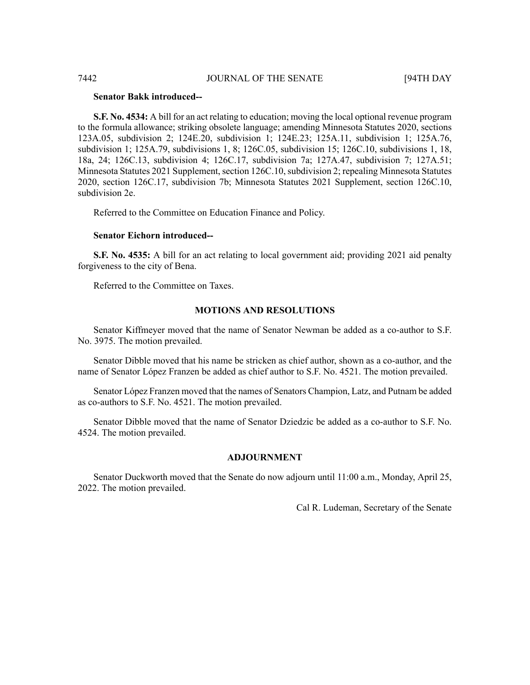#### **Senator Bakk introduced--**

**S.F. No. 4534:** A bill for an act relating to education; moving the local optional revenue program to the formula allowance; striking obsolete language; amending Minnesota Statutes 2020, sections 123A.05, subdivision 2; 124E.20, subdivision 1; 124E.23; 125A.11, subdivision 1; 125A.76, subdivision 1; 125A.79, subdivisions 1, 8; 126C.05, subdivision 15; 126C.10, subdivisions 1, 18, 18a, 24; 126C.13, subdivision 4; 126C.17, subdivision 7a; 127A.47, subdivision 7; 127A.51; Minnesota Statutes 2021 Supplement, section 126C.10, subdivision 2; repealing Minnesota Statutes 2020, section 126C.17, subdivision 7b; Minnesota Statutes 2021 Supplement, section 126C.10, subdivision 2e.

Referred to the Committee on Education Finance and Policy.

#### **Senator Eichorn introduced--**

**S.F. No. 4535:** A bill for an act relating to local government aid; providing 2021 aid penalty forgiveness to the city of Bena.

Referred to the Committee on Taxes.

#### **MOTIONS AND RESOLUTIONS**

Senator Kiffmeyer moved that the name of Senator Newman be added as a co-author to S.F. No. 3975. The motion prevailed.

Senator Dibble moved that his name be stricken as chief author, shown as a co-author, and the name of Senator López Franzen be added as chief author to S.F. No. 4521. The motion prevailed.

Senator López Franzen moved that the names of Senators Champion, Latz, and Putnam be added as co-authors to S.F. No. 4521. The motion prevailed.

Senator Dibble moved that the name of Senator Dziedzic be added as a co-author to S.F. No. 4524. The motion prevailed.

#### **ADJOURNMENT**

Senator Duckworth moved that the Senate do now adjourn until 11:00 a.m., Monday, April 25, 2022. The motion prevailed.

Cal R. Ludeman, Secretary of the Senate